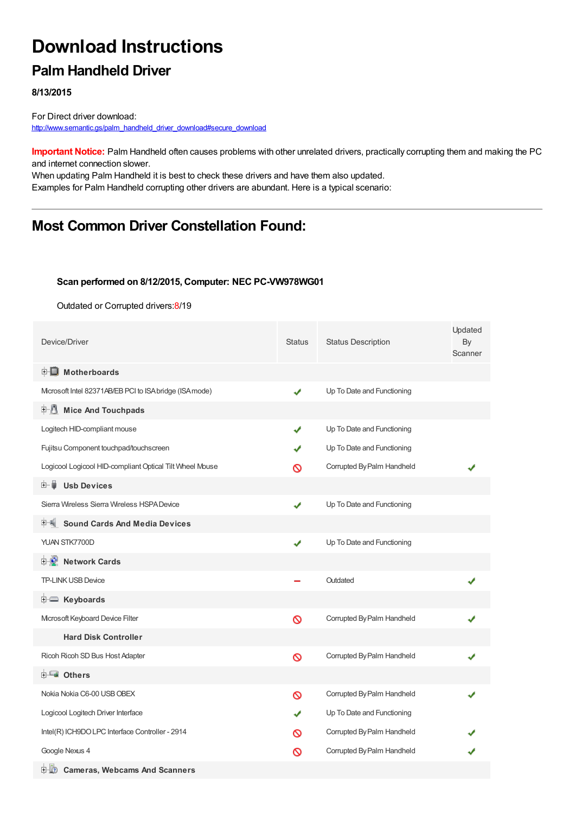# **Download Instructions**

## **Palm Handheld Driver**

**8/13/2015**

For Direct driver download: [http://www.semantic.gs/palm\\_handheld\\_driver\\_download#secure\\_download](http://www.semantic.gs/palm_handheld_driver_download#secure_download)

**Important Notice:** Palm Handheld often causes problems with other unrelated drivers, practically corrupting them and making the PC and internet connection slower.

When updating Palm Handheld it is best to check these drivers and have them also updated. Examples for Palm Handheld corrupting other drivers are abundant. Here is a typical scenario:

### **Most Common Driver Constellation Found:**

#### **Scan performed on 8/12/2015, Computer: NEC PC-VW978WG01**

Outdated or Corrupted drivers:8/19

| Device/Driver                                            | <b>Status</b> | <b>Status Description</b>  | Updated<br>By<br>Scanner |
|----------------------------------------------------------|---------------|----------------------------|--------------------------|
| $\mathbb{H}$ Motherboards                                |               |                            |                          |
| Mcrosoft Intel 82371AB/EB PCI to ISA bridge (ISA mode)   | ✔             | Up To Date and Functioning |                          |
| <b>Mice And Touchpads</b><br>F U                         |               |                            |                          |
| Logitech HID-compliant mouse                             | ✔             | Up To Date and Functioning |                          |
| Fujitsu Component touchpad/touchscreen                   |               | Up To Date and Functioning |                          |
| Logicool Logicool HID-compliant Optical Tilt Wheel Mouse | ര             | Corrupted By Palm Handheld |                          |
| 田一員<br><b>Usb Devices</b>                                |               |                            |                          |
| Sierra Wireless Sierra Wireless HSPA Device              |               | Up To Date and Functioning |                          |
| <b>Sound Cards And Media Devices</b>                     |               |                            |                          |
| YUAN STK7700D                                            | ✔             | Up To Date and Functioning |                          |
| <b>E-D</b> Network Cards                                 |               |                            |                          |
| <b>TP-LINK USB Device</b>                                |               | Outdated                   |                          |
| E Keyboards                                              |               |                            |                          |
| Mcrosoft Keyboard Device Filter                          | Ø             | Corrupted By Palm Handheld |                          |
| <b>Hard Disk Controller</b>                              |               |                            |                          |
| Ricoh Ricoh SD Bus Host Adapter                          | Ø             | Corrupted By Palm Handheld |                          |
| 由 <b>Lu</b> Others                                       |               |                            |                          |
| Nokia Nokia C6-00 USB OBEX                               | Ø             | Corrupted By Palm Handheld |                          |
| Logicool Logitech Driver Interface                       |               | Up To Date and Functioning |                          |
| Intel(R) ICH9DO LPC Interface Controller - 2914          | ര             | Corrupted By Palm Handheld |                          |
| Google Nexus 4                                           | ര             | Corrupted By Palm Handheld |                          |
| 中心 Cameras, Webcams And Scanners                         |               |                            |                          |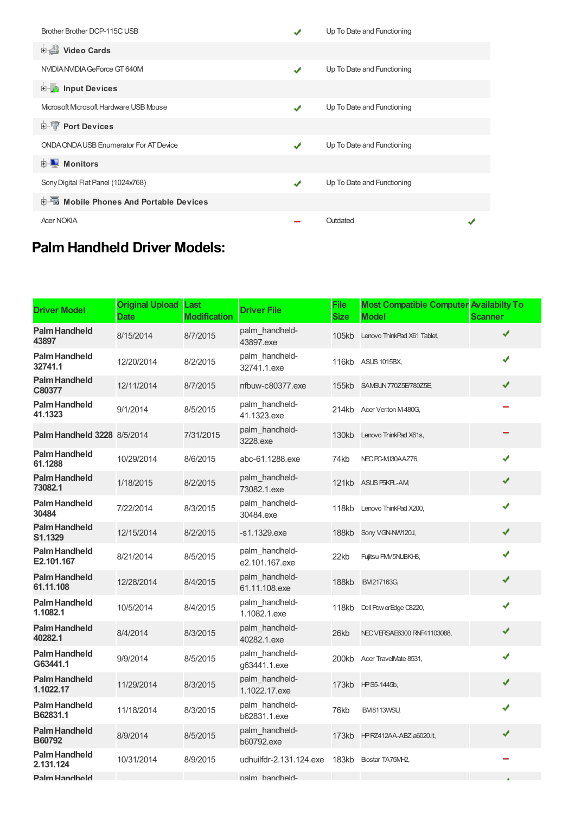| Brother Brother DCP-115C USB                  |               | Up To Date and Functioning |  |
|-----------------------------------------------|---------------|----------------------------|--|
| Video Cards                                   |               |                            |  |
| NVIDIA NVIDIA GeForce GT 640M                 | ✔             | Up To Date and Functioning |  |
| <b>E</b> Input Devices                        |               |                            |  |
| Microsoft Microsoft Hardware USB Mouse        | $\mathcal{L}$ | Up To Date and Functioning |  |
| <b>E-</b> Port Devices                        |               |                            |  |
| <b>ONDA ONDA USB Enumerator For AT Device</b> | √             | Up To Date and Functioning |  |
| <b>E</b> Monitors                             |               |                            |  |
| Sony Digital Flat Panel (1024x768)            | ✔             | Up To Date and Functioning |  |
| 中国 Mobile Phones And Portable Devices         |               |                            |  |
| <b>Acer NOKIA</b>                             |               | Outdated                   |  |

## **Palm Handheld Driver Models:**

| <b>Driver Model</b>                   | <b>Original Upload</b><br><b>Date</b> | Last<br><b>Modification</b> | <b>Driver File</b>               | <b>File</b><br><b>Size</b> | <b>Most Compatible Computer</b><br><b>Model</b> | <b>Availabilty To</b><br><b>Scanner</b> |
|---------------------------------------|---------------------------------------|-----------------------------|----------------------------------|----------------------------|-------------------------------------------------|-----------------------------------------|
| <b>Palm Handheld</b><br>43897         | 8/15/2014                             | 8/7/2015                    | palm handheld-<br>43897.exe      | 105kb                      | Lenovo ThinkPad X61 Tablet,                     | ✔                                       |
| <b>Palm Handheld</b><br>32741.1       | 12/20/2014                            | 8/2/2015                    | palm_handheld-<br>32741.1.exe    | 116kb                      | ASUS 1015BX,                                    | ✔                                       |
| <b>Palm Handheld</b><br>C80377        | 12/11/2014                            | 8/7/2015                    | nfbuw-c80377.exe                 | 155kb                      | SAMSUN 770Z5E/780Z5E                            | ✔                                       |
| Palm Handheld<br>41.1323              | 9/1/2014                              | 8/5/2015                    | palm handheld-<br>41.1323.exe    |                            | 214kb Acer Veriton M-480G,                      |                                         |
| <b>Palm Handheld 3228 8/5/2014</b>    |                                       | 7/31/2015                   | palm_handheld-<br>3228.exe       | 130kb                      | Lenovo ThinkPad X61s,                           |                                         |
| <b>Palm Handheld</b><br>61.1288       | 10/29/2014                            | 8/6/2015                    | abc-61.1288.exe                  | 74kb                       | NEC PC-MJ30AAZ76,                               | ✔                                       |
| <b>Palm Handheld</b><br>73082.1       | 1/18/2015                             | 8/2/2015                    | palm handheld-<br>73082.1.exe    | 121kb                      | ASUS P5KPL-AM                                   | ✔                                       |
| <b>Palm Handheld</b><br>30484         | 7/22/2014                             | 8/3/2015                    | palm_handheld-<br>30484.exe      | 118kb                      | Lenovo ThinkPad X200,                           | ✔                                       |
| <b>Palm Handheld</b><br>S1.1329       | 12/15/2014                            | 8/2/2015                    | -s1.1329.exe                     | 188kb                      | Sony VGN-NW120J,                                | ✔                                       |
| <b>Palm Handheld</b><br>E2.101.167    | 8/21/2014                             | 8/5/2015                    | palm handheld-<br>e2.101.167.exe | 22kb                       | Fujitsu FMV5NUBKH8,                             | ✔                                       |
| <b>Palm Handheld</b><br>61.11.108     | 12/28/2014                            | 8/4/2015                    | palm_handheld-<br>61.11.108.exe  | 188kb                      | IBM217163G,                                     | ✔                                       |
| <b>Palm Handheld</b><br>1.1082.1      | 10/5/2014                             | 8/4/2015                    | palm handheld-<br>1.1082.1.exe   | 118kb                      | Dell Pow erEdge C8220,                          | ✔                                       |
| <b>Palm Handheld</b><br>40282.1       | 8/4/2014                              | 8/3/2015                    | palm_handheld-<br>40282.1.exe    | 26kb                       | NEC VERSAE6300 RNF41103088,                     | ✔                                       |
| <b>Palm Handheld</b><br>G63441.1      | 9/9/2014                              | 8/5/2015                    | palm_handheld-<br>q63441.1.exe   | 200kb                      | Acer TravelMate 8531,                           | ✔                                       |
| <b>Palm Handheld</b><br>1.1022.17     | 11/29/2014                            | 8/3/2015                    | palm handheld-<br>1.1022.17.exe  | 173kb                      | HPS5-1445b,                                     | ✔                                       |
| Palm Handheld<br>B62831.1             | 11/18/2014                            | 8/3/2015                    | palm handheld-<br>b62831.1.exe   | 76kb                       | IBM8113WSU,                                     | ✔                                       |
| <b>Palm Handheld</b><br><b>B60792</b> | 8/9/2014                              | 8/5/2015                    | palm_handheld-<br>b60792.exe     | 173kb                      | HPRZ412AA-ABZ a6020.it,                         | ✔                                       |
| <b>Palm Handheld</b><br>2.131.124     | 10/31/2014                            | 8/9/2015                    | udhuilfdr-2.131.124.exe          |                            | 183kb Biostar TA75MH2,                          |                                         |
| <b>Palm Handheld</b>                  |                                       |                             | palm handheld-                   |                            |                                                 |                                         |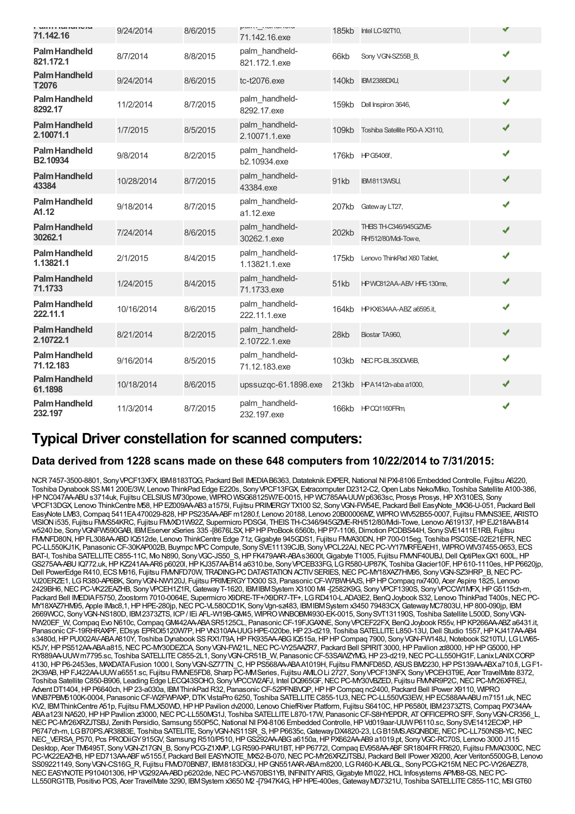| <b>MITT FRIM IMPORT</b><br>71.142.16 | 9/24/2014  | 8/6/2015 | pullit_i lui lui luiu<br>71.142.16.exe |       | 185kb Intel LC-92T10,                         |   |
|--------------------------------------|------------|----------|----------------------------------------|-------|-----------------------------------------------|---|
| <b>Palm Handheld</b><br>821.172.1    | 8/7/2014   | 8/8/2015 | palm handheld-<br>821.172.1.exe        | 66kb  | Sony VGN-SZ55B B,                             | ✔ |
| <b>Palm Handheld</b><br>T2076        | 9/24/2014  | 8/6/2015 | tc-t2076.exe                           | 140kb | <b>IBM2388DXU,</b>                            | ✔ |
| <b>Palm Handheld</b><br>8292.17      | 11/2/2014  | 8/7/2015 | palm_handheld-<br>8292.17.exe          | 159kb | Dell Inspiron 3646,                           | ✔ |
| <b>Palm Handheld</b><br>2.10071.1    | 1/7/2015   | 8/5/2015 | palm handheld-<br>2.10071.1.exe        | 109kb | Toshiba Satellite P50-A X3110,                | ✔ |
| <b>Palm Handheld</b><br>B2.10934     | 9/8/2014   | 8/2/2015 | palm_handheld-<br>b2.10934.exe         |       | 176kb HPG5406f,                               | ✔ |
| <b>Palm Handheld</b><br>43384        | 10/28/2014 | 8/7/2015 | palm handheld-<br>43384.exe            | 91kb  | IBM8113WSU,                                   | ✔ |
| <b>Palm Handheld</b><br>A1.12        | 9/18/2014  | 8/7/2015 | palm handheld-<br>a1.12.exe            | 207kb | Gateway LT27,                                 | ✔ |
| <b>Palm Handheld</b><br>30262.1      | 7/24/2014  | 8/6/2015 | palm handheld-<br>30262.1.exe          | 202kb | THEIS TH-C346/945GZME-<br>RH/512/80/Mdi-Towe, | ✔ |
| <b>Palm Handheld</b><br>1.13821.1    | 2/1/2015   | 8/4/2015 | palm handheld-<br>1.13821.1.exe        | 175kb | Lenovo ThinkPad X60 Tablet,                   | ✔ |
| <b>Palm Handheld</b><br>71.1733      | 1/24/2015  | 8/4/2015 | palm handheld-<br>71.1733.exe          | 51kb  | HPWC812AA-ABV HPE-130me,                      | ✔ |
| <b>Palm Handheld</b><br>222.11.1     | 10/16/2014 | 8/6/2015 | palm handheld-<br>222.11.1.exe         | 164kb | HPKX634AA-ABZ a6595.it,                       | J |
| <b>Palm Handheld</b><br>2.10722.1    | 8/21/2014  | 8/2/2015 | palm handheld-<br>2.10722.1.exe        | 28kb  | Biostar TA960,                                | ✔ |
| <b>Palm Handheld</b><br>71.12.183    | 9/16/2014  | 8/5/2015 | palm handheld-<br>71.12.183.exe        |       | 103kb NEC PC-BL350DW6B,                       | ✔ |
| <b>Palm Handheld</b><br>61.1898      | 10/18/2014 | 8/6/2015 | upssuzqc-61.1898.exe                   |       | 213kb HPA1412n-aba a1000,                     | ✔ |
| <b>Palm Handheld</b><br>232.197      | 11/3/2014  | 8/7/2015 | palm_handheld-<br>232.197.exe          |       | 166kb HPCQ1160FRm                             |   |

### **Typical Driver constellation for scanned computers:**

#### **Data derived from 1228 scans made on these 648 computers from 10/22/2014 to 7/31/2015:**

NCR 7457-3500-8801, Sony VPCF13XFX, IBM8183TQG, Packard Bell IMEDIA B6363, Datateknik EXPER, National NI PXI-8106 Embedded Controlle, Fujitsu A6220, Toshiba Dynabook SSM41 200E/3W, Lenovo ThinkPad Edge E220s, SonyVPCF13FGX, Extracomputer D2312-C2,Open Labs Neko/Miko, Toshiba Satellite A100-386, HPNC047AA-ABUs3714uk, Fujitsu CELSIUSM730powe, WIPROWSG68125W7E-0015,HP WC785AA-UUWp6363sc, Prosys Prosys,HPXY310ES, Sony VPCF13DGX, Lenovo ThinkCentre M58,HPEZ009AA-AB3 a1575l, Fujitsu PRIMERGYTX100 S2, SonyVGN-FW54E, Packard Bell EasyNote\_MX36-U-051, Packard Bell EasyNote LM83,Compaq 5411EA470029-828,HPPS235AA-ABFm1280.f, Lenovo 20188, Lenovo 20B00006MZ, WIPROWIV52B55-0007, Fujitsu FMVNS3EE, ARISTO VISIONi535, Fujitsu FMVS54KRC, Fujitsu FMVXD1W92Z, Supermicro PDSG4, THEISTH-C346/945GZME-RH/512/80/Midi-Towe, Lenovo A619137,HPEJ218AA-B14 w5240.be, SonyVGNFW590GAB, IBMEserver xSeries 335 -[8676LSX,HPHPProBook 6560b,HPP7-1106,Dimotion PCDBS44H, SonySVE1411E1RB, Fujitsu FMVNFD80N,HPFL308AA-ABDIQ512de, Lenovo ThinkCentre Edge 71z,Gigabyte 945GDS1, Fujitsu FMVA30DN,HP700-015eg, Toshiba PSC0SE-02E21EFR,NEC PC-LL550KJ1K, Panasonic CF-30KAP002B, Buympc MPC Compute, Sony SVE11139CJB, Sony VPCL22AJ, NEC PC-VY17MRFEAEH1, WIPRO WIV37455-0653, ECS BAT-I, Toshiba SATELLITE C855-11C, Mo N890, Sony VGC-JS50\_S, HP FK479AAR-ABAs3600t, Gigabyte T1005, Fujitsu FM/NF40UBJ, Dell OptiPlex GX1 600L, HP GS275AA-ABU IQ772.uk, HP KZ241AA-AR6 p6020l, HP KJ357AA-B14 a6310.be, Sony VPCEB33FG, LG R580-UP87K, Toshiba Glacier10F, HP 610-1110es, HP P6620jp, Dell PowerEdge R410, ECS M916, Fujitsu FMMFD70W, TRADING-PC DATASTATION ACTIVSERIES, NEC PC-MY18XAZ7HM95, Sony VGN-SZ3HRP\_B, NEC PC-VJ20ERZE1, LGR380-AP6BK, SonyVGN-NW120J, Fujitsu PRIMERGYTX300 S3, PanasonicCF-W7BWHAJS,HPHPCompaq nx7400, Acer Aspire 1825, Lenovo 2429BH6,NECPC-VK22EAZHB, SonyVPCEH1Z1R,GatewayT-1620, IBMIBMSystem X3100 M4 -[2582K9G, SonyVPCF1390S, SonyVPCCW1MFX,HPG5115ch-m, Packard Bell IMEDIAF5750, Zoostorm 7010-0064E, Supermicro X9DRE-TF+/X9DR7-TF+, LGRD410-L.ADA3E2, BenQJoybook S32, Lenovo ThinkPad T400s,NECPC-MY18XAZ7HM95, Apple IMac8,1,HPHPE-280jp,NECPC-VL580CD1K, SonyVgn-sz483, IBMIBMSystem x3450 79483CX,GatewayMC7803U,HP800-090jp, IBM 2669WCC, SonyVGN-NS180D, IBM2373ZTS, ICP/ IEi AFL-W19B-GM45, WIPROWNBOBM4930-EK-0015, SonySVT131190S, Toshiba Satellite L500D, SonyVGN-NW20EF\_W, Compaq Evo N610c, Compaq GM442AA-ABA SR5125CL, Panasonic CF-19FJGAXNE, Sony VPCEF22FX, BenQ Joybook R55v, HP KP266AA-ABZ a6431.it, Panasonic CF-19RHRAXPF, EDsys EPROI5120W7P, HP VN310AA-UUG HPE-020be, HP 23-d219, Toshiba SATELLITE L850-13U, Dell Studio 1557, HP KJ417AA-AB4 s3480d,HPPU002AV-ABAA810Y, Toshiba Dynabook SSRX1/T9A,HPFK935AA-ABGIQ515a,HPHPCompaq 7900, SonyVGN-FW148J,Notebook S210TU, LGLW65- K5JY, HP PS512AA-ABA a815, NEC PC-MY30DEZCA, Sony VGN-FW21L, NEC PC-VY25AAZR7, Packard Bell SPIRIT 3000, HP Pavilion zd8000, HP HP G5000, HP RY889AA-UUWm7795.sc, Toshiba SATELLITEC855-2L1, SonyVGN-CR51B\_W, PanasonicCF-53SAWZYMG,HP23-d219,NECPC-LL550HG1F, LanixLANIXCORP 4130, HP P6-2453es, MAXDATA Fusion 1000 I, Sony VGN-SZ77TN C, HP PS568AA-ABAA1019H, Fujitsu FMMFD85D, ASUS BM2230, HP PS139AA-ABXa710.fi, LGF1-2K39AB,HPFJ422AA-UUWa6551.sc, Fujitsu FMVNE5FD8, Sharp PC-MMSeries, Fujitsu AMILOLi 2727, SonyVPCF13NFX, SonyVPCEH3T9E, Acer TravelMate 8372, Toshiba Satellite C850-B906, Leading Edge LECQ43SOHO, Sony VPCCW2AFJ, Intel DQ965GF, NEC PC-MY30VBZED, Fujitsu FMMR9P2C, NEC PC-MY26XFREJ, AdventDT1404,HPP6640ch,HP23-a030a, IBMThinkPad R32, PanasonicCF-52PFNBVQP,HPHPCompaq nc2400, Packard Bell IPower X9110, WIPRO WNB7PBM5100K-0004, Panasonic CF-W2FWPAXP, DTK VistaPro 6250, Toshiba SATELLITE C855-1U3, NEC PC-LL550VG3EW, HP EC588AA-ABU m7151.uk, NEC KV2, IBMThinkCentre A51p, Fujitsu FMALX50WD, HPHP Pavilion dv2000, Lenovo ChiefRiver Platform, Fujitsu S6410C, HP P6580t, IBM2373ZTS, Compaq PX734AA ABAa123l NA520,HPHPPavilion zt3000,NECPC-LL550MG1J, Toshiba SATELLITEL870-17W, PanasonicCF-S8HYEPDR, ATOFFICEPROSFF, SonyVGN-CR356\_L, NEC PC-MY26XRZJTSBJ, Zenith Persidio, Samsung 550P5C, National NI PXI-8106 Embedded Controlle, HP Vd019aar-UUW P6110.sc, Sony SVE1412ECXP, HP P6747ch-m, LGB70PS.AR38B3E, Toshiba SATELITE, Sony VGN-NS11SR\_S, HP P6635c, Gateway DX4820-23, LGB15MS.ASQNBDE, NEC PC-LL750NSB-YC, NEC NEC\_VERSA\_P570, Pcs PRODiiGY915GV, Samsung R510/P510, HP GS292AA-ABG a6150a, HP PX662AA-AB9 a1019.pt, Sony VGC-RC70S, Lenovo 3000 J115 Desktop, Acer TM6495T, Sony VGN-Z17GN\_B, Sony PCG-Z1XMP, LG R590-PARU1BT, HP P6772l, Compaq EV958AA-ABF SR1804FR FR620, Fujitsu FMVA0300C, NEC PC-VK22EAZHB, HP ED713AA-ABF w5155.f, Packard Bell EASYNOTE\_MX52-B-070, NEC PC-MY26XRZJTSBJ, Packard Bell IPower X9200, Acer Veriton5500G-B, Lenovo SS09221149, Sony VGN-CS16G\_R, Fujitsu FMVD70BNB7, IBM8183DGU, HP GN551AAR-ABAm8200, LG R460-K.ABLGL, Sony PCG-K215M, NEC PC-VY26AEZ78, NEC EASYNOTE P910401306, HP VG292AA-ABD p6202de, NEC PC-VN570BS1YB, INFINITY AIRIS, Gigabyte M1022, HCL Infosystems APM88-GS, NEC PC-LL550RG1TB, Positivo POS, Acer TravelMate 3290, IBM System x3650 M2 -[7947K4G, HP HPE-400es, Gateway MD7321U, Toshiba SATELLITE C855-11C, MSI GT60